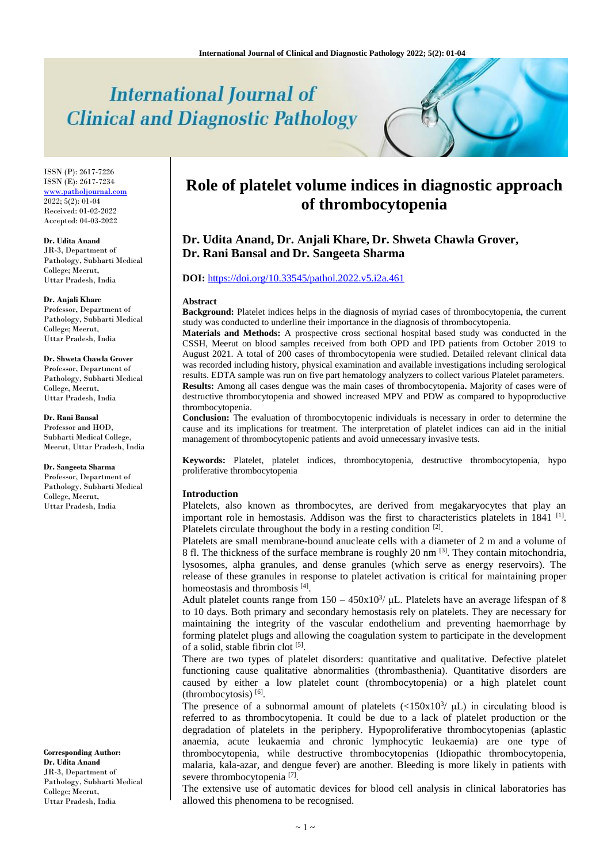# **International Journal of Clinical and Diagnostic Pathology**

ISSN (P): 2617-7226 ISSN (E): 2617-7234 [www.patholjournal.com](http://www.patholjournal.com/)  $2022; 5(2): 01-04$ Received: 01-02-2022 Accepted: 04-03-2022

**Dr. Udita Anand**

JR-3, Department of Pathology, Subharti Medical College; Meerut, Uttar Pradesh, India

**Dr. Anjali Khare**

Professor, Department of Pathology, Subharti Medical College; Meerut, Uttar Pradesh, India

**Dr. Shweta Chawla Grover**  Professor, Department of Pathology, Subharti Medical College, Meerut, Uttar Pradesh, India

**Dr. Rani Bansal** Professor and HOD, Subharti Medical College, Meerut, Uttar Pradesh, India

**Dr. Sangeeta Sharma**

Professor, Department of Pathology, Subharti Medical College, Meerut, Uttar Pradesh, India

**Corresponding Author: Dr. Udita Anand** JR-3, Department of Pathology, Subharti Medical College; Meerut, Uttar Pradesh, India

# **Role of platelet volume indices in diagnostic approach of thrombocytopenia**

**Dr. Udita Anand, Dr. Anjali Khare, Dr. Shweta Chawla Grover, Dr. Rani Bansal and Dr. Sangeeta Sharma**

## **DOI:** <https://doi.org/10.33545/pathol.2022.v5.i2a.461>

#### **Abstract**

**Background:** Platelet indices helps in the diagnosis of myriad cases of thrombocytopenia, the current study was conducted to underline their importance in the diagnosis of thrombocytopenia.

**Materials and Methods:** A prospective cross sectional hospital based study was conducted in the CSSH, Meerut on blood samples received from both OPD and IPD patients from October 2019 to August 2021. A total of 200 cases of thrombocytopenia were studied. Detailed relevant clinical data was recorded including history, physical examination and available investigations including serological results. EDTA sample was run on five part hematology analyzers to collect various Platelet parameters. **Results:** Among all cases dengue was the main cases of thrombocytopenia**.** Majority of cases were of destructive thrombocytopenia and showed increased MPV and PDW as compared to hypoproductive thrombocytopenia.

**Conclusion:** The evaluation of thrombocytopenic individuals is necessary in order to determine the cause and its implications for treatment. The interpretation of platelet indices can aid in the initial management of thrombocytopenic patients and avoid unnecessary invasive tests.

**Keywords:** Platelet, platelet indices, thrombocytopenia, destructive thrombocytopenia, hypo proliferative thrombocytopenia

#### **Introduction**

Platelets, also known as thrombocytes, are derived from megakaryocytes that play an important role in hemostasis. Addison was the first to characteristics platelets in 1841<sup>[1]</sup>. Platelets circulate throughout the body in a resting condition [2].

Platelets are small membrane-bound anucleate cells with a diameter of 2 m and a volume of 8 fl. The thickness of the surface membrane is roughly 20 nm <sup>[3]</sup>. They contain mitochondria, lysosomes, alpha granules, and dense granules (which serve as energy reservoirs). The release of these granules in response to platelet activation is critical for maintaining proper homeostasis and thrombosis [4].

Adult platelet counts range from  $150 - 450x10^3$ /  $\mu$ L. Platelets have an average lifespan of 8 to 10 days. Both primary and secondary hemostasis rely on platelets. They are necessary for maintaining the integrity of the vascular endothelium and preventing haemorrhage by forming platelet plugs and allowing the coagulation system to participate in the development of a solid, stable fibrin clot [5].

There are two types of platelet disorders: quantitative and qualitative. Defective platelet functioning cause qualitative abnormalities (thrombasthenia). Quantitative disorders are caused by either a low platelet count (thrombocytopenia) or a high platelet count (thrombocytosis) [6] .

The presence of a subnormal amount of platelets  $\left(\langle 150x10^3 \rangle \mu\right)$  in circulating blood is referred to as thrombocytopenia. It could be due to a lack of platelet production or the degradation of platelets in the periphery. Hypoproliferative thrombocytopenias (aplastic anaemia, acute leukaemia and chronic lymphocytic leukaemia) are one type of thrombocytopenia, while destructive thrombocytopenias (Idiopathic thrombocytopenia, malaria, kala-azar, and dengue fever) are another. Bleeding is more likely in patients with severe thrombocytopenia<sup>[7]</sup>.

The extensive use of automatic devices for blood cell analysis in clinical laboratories has allowed this phenomena to be recognised.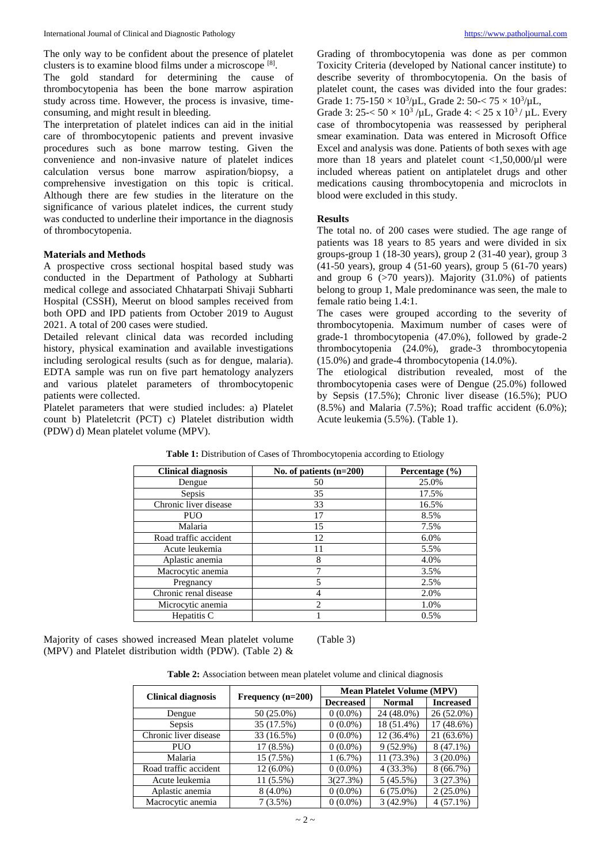The only way to be confident about the presence of platelet clusters is to examine blood films under a microscope [8].

The gold standard for determining the cause of thrombocytopenia has been the bone marrow aspiration study across time. However, the process is invasive, timeconsuming, and might result in bleeding.

The interpretation of platelet indices can aid in the initial care of thrombocytopenic patients and prevent invasive procedures such as bone marrow testing. Given the convenience and non-invasive nature of platelet indices calculation versus bone marrow aspiration/biopsy, a comprehensive investigation on this topic is critical. Although there are few studies in the literature on the significance of various platelet indices, the current study was conducted to underline their importance in the diagnosis of thrombocytopenia.

### **Materials and Methods**

A prospective cross sectional hospital based study was conducted in the Department of Pathology at Subharti medical college and associated Chhatarpati Shivaji Subharti Hospital (CSSH), Meerut on blood samples received from both OPD and IPD patients from October 2019 to August 2021. A total of 200 cases were studied.

Detailed relevant clinical data was recorded including history, physical examination and available investigations including serological results (such as for dengue, malaria). EDTA sample was run on five part hematology analyzers and various platelet parameters of thrombocytopenic patients were collected.

Platelet parameters that were studied includes: a) Platelet count b) Plateletcrit (PCT) c) Platelet distribution width (PDW) d) Mean platelet volume (MPV).

Grading of thrombocytopenia was done as per common Toxicity Criteria (developed by National cancer institute) to describe severity of thrombocytopenia. On the basis of platelet count, the cases was divided into the four grades: Grade 1:  $75-150 \times 10^3/\mu$ L, Grade 2:  $50 < 75 \times 10^3/\mu$ L,

Grade 3:  $25 < 50 \times 10^3$  /µL, Grade 4:  $< 25 \times 10^3$  / µL. Every case of thrombocytopenia was reassessed by peripheral smear examination. Data was entered in Microsoft Office Excel and analysis was done. Patients of both sexes with age more than 18 years and platelet count  $\langle 1, 50, 000/\mu$ l were included whereas patient on antiplatelet drugs and other medications causing thrombocytopenia and microclots in blood were excluded in this study.

#### **Results**

The total no. of 200 cases were studied. The age range of patients was 18 years to 85 years and were divided in six groups-group 1 (18-30 years), group 2 (31-40 year), group 3 (41-50 years), group 4 (51-60 years), group 5 (61-70 years) and group  $6$  ( $>70$  years)). Majority (31.0%) of patients belong to group 1, Male predominance was seen, the male to female ratio being 1.4:1.

The cases were grouped according to the severity of thrombocytopenia. Maximum number of cases were of grade-1 thrombocytopenia (47.0%), followed by grade-2 thrombocytopenia (24.0%), grade-3 thrombocytopenia (15.0%) and grade-4 thrombocytopenia (14.0%).

The etiological distribution revealed, most of the thrombocytopenia cases were of Dengue (25.0%) followed by Sepsis (17.5%); Chronic liver disease (16.5%); PUO  $(8.5\%)$  and Malaria  $(7.5\%)$ ; Road traffic accident  $(6.0\%)$ ; Acute leukemia (5.5%). (Table 1).

| <b>Clinical diagnosis</b> | No. of patients $(n=200)$ | Percentage $(\% )$ |
|---------------------------|---------------------------|--------------------|
| Dengue                    | 50                        | 25.0%              |
| Sepsis                    | 35                        | 17.5%              |
| Chronic liver disease     | 33                        | 16.5%              |
| <b>PUO</b>                | 17                        | 8.5%               |
| Malaria                   | 15                        | 7.5%               |
| Road traffic accident     | 12                        | 6.0%               |
| Acute leukemia            | 11                        | 5.5%               |
| Aplastic anemia           | 8                         | 4.0%               |
| Macrocytic anemia         | 7                         | 3.5%               |
| Pregnancy                 | 5                         | 2.5%               |
| Chronic renal disease     |                           | 2.0%               |
| Microcytic anemia         | っ                         | 1.0%               |
| Hepatitis C               |                           | 0.5%               |

Table 1: Distribution of Cases of Thrombocytopenia according to Etiology

Majority of cases showed increased Mean platelet volume (MPV) and Platelet distribution width (PDW). (Table 2) &

(Table 3)

| Table 2: Association between mean platelet volume and clinical diagnosis |  |  |  |  |
|--------------------------------------------------------------------------|--|--|--|--|
|                                                                          |  |  |  |  |

|                           |                     | <b>Mean Platelet Volume (MPV)</b> |               |                  |  |  |
|---------------------------|---------------------|-----------------------------------|---------------|------------------|--|--|
| <b>Clinical diagnosis</b> | Frequency $(n=200)$ | <b>Decreased</b>                  | <b>Normal</b> | <b>Increased</b> |  |  |
| Dengue                    | 50 (25.0%)          | $0(0.0\%)$                        | 24 (48.0%)    | 26 (52.0%)       |  |  |
| Sepsis                    | 35 (17.5%)          | $0(0.0\%)$                        | 18 (51.4%)    | 17 (48.6%)       |  |  |
| Chronic liver disease     | 33 (16.5%)          | $0(0.0\%)$                        | 12 (36.4%)    | 21 (63.6%)       |  |  |
| PUO                       | $17(8.5\%)$         | $0(0.0\%)$                        | $9(52.9\%)$   | $8(47.1\%)$      |  |  |
| Malaria                   | 15 (7.5%)           | $1(6.7\%)$                        | 11 (73.3%)    | $3(20.0\%)$      |  |  |
| Road traffic accident     | 12 (6.0%)           | $0(0.0\%)$                        | $4(33.3\%)$   | 8(66.7%)         |  |  |
| Acute leukemia            | $11(5.5\%)$         | 3(27.3%)                          | $5(45.5\%)$   | 3(27.3%)         |  |  |
| Aplastic anemia           | $8(4.0\%)$          | $0(0.0\%)$                        | $6(75.0\%)$   | $2(25.0\%)$      |  |  |
| Macrocytic anemia         | $7(3.5\%)$          | $0(0.0\%)$                        | 3(42.9%)      | $4(57.1\%)$      |  |  |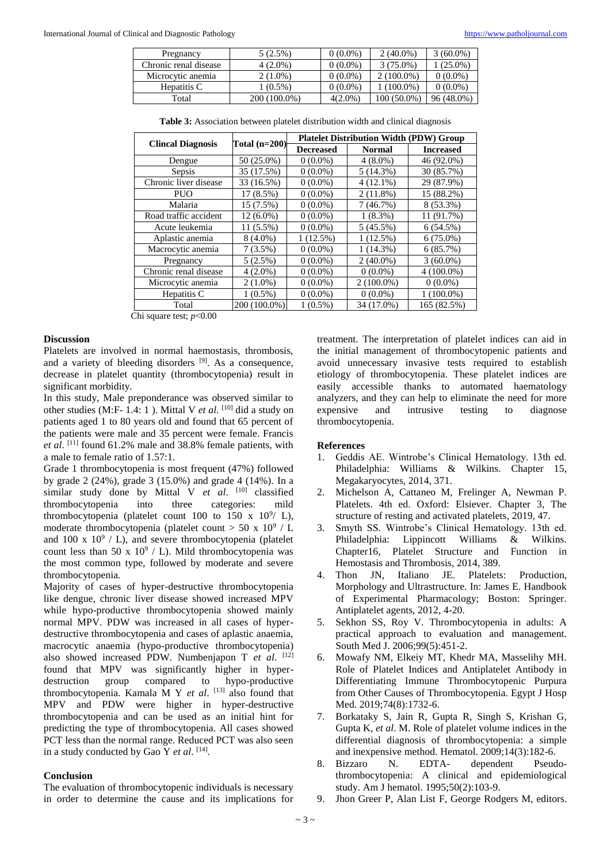| Pregnancy             | 5(2.5%)      | $0(0.0\%)$ | $2(40.0\%)$  | 3 (60.0%)    |
|-----------------------|--------------|------------|--------------|--------------|
| Chronic renal disease | $4(2.0\%)$   | $0(0.0\%)$ | $3(75.0\%)$  | $(25.0\%)$   |
| Microcytic anemia     | $2(1.0\%)$   | $0(0.0\%)$ | $2(100.0\%)$ | $0(0.0\%)$   |
| Hepatitis C           | $(0.5\%)$    | $0(0.0\%)$ | 1 (100.0%)   | $0(0.0\%)$   |
| Total                 | 200 (100.0%) | $4(2.0\%)$ | 100 (50.0%)  | $96(48.0\%)$ |

**Table 3:** Association between platelet distribution width and clinical diagnosis

|                          |               | <b>Platelet Distribution Width (PDW) Group</b> |               |                  |  |  |
|--------------------------|---------------|------------------------------------------------|---------------|------------------|--|--|
| <b>Clincal Diagnosis</b> | Total (n=200) | <b>Decreased</b>                               | <b>Normal</b> | <b>Increased</b> |  |  |
| Dengue                   | 50 (25.0%)    | $0(0.0\%)$                                     | $4(8.0\%)$    | 46 (92.0%)       |  |  |
| Sepsis                   | 35 (17.5%)    | $0(0.0\%)$                                     | 5(14.3%)      | 30 (85.7%)       |  |  |
| Chronic liver disease    | 33 (16.5%)    | $0(0.0\%)$                                     | $4(12.1\%)$   | 29 (87.9%)       |  |  |
| <b>PUO</b>               | 17 (8.5%)     | $0(0.0\%)$                                     | $2(11.8\%)$   | 15 (88.2%)       |  |  |
| Malaria                  | 15 (7.5%)     | $0(0.0\%)$                                     | 7(46.7%)      | 8 (53.3%)        |  |  |
| Road traffic accident    | 12 (6.0%)     | $0(0.0\%)$                                     | $1(8.3\%)$    | 11 (91.7%)       |  |  |
| Acute leukemia           | 11 (5.5%)     | $0(0.0\%)$                                     | 5(45.5%)      | 6(54.5%)         |  |  |
| Aplastic anemia          | $8(4.0\%)$    | 1(12.5%)                                       | 1(12.5%)      | $6(75.0\%)$      |  |  |
| Macrocytic anemia        | 7(3.5%)       | $0(0.0\%)$                                     | 1(14.3%)      | 6(85.7%)         |  |  |
| Pregnancy                | 5(2.5%)       | $0(0.0\%)$                                     | $2(40.0\%)$   | $3(60.0\%)$      |  |  |
| Chronic renal disease    | $4(2.0\%)$    | $0(0.0\%)$                                     | $0(0.0\%)$    | $4(100.0\%)$     |  |  |
| Microcytic anemia        | $2(1.0\%)$    | $0(0.0\%)$                                     | $2(100.0\%)$  | $0(0.0\%)$       |  |  |
| Hepatitis C              | $1(0.5\%)$    | $0(0.0\%)$                                     | $0(0.0\%)$    | $1(100.0\%)$     |  |  |
| Total                    | 200 (100.0%)  | $1(0.5\%)$                                     | 34 (17.0%)    | 165 (82.5%)      |  |  |

Chi square test; *p*<0.00

#### **Discussion**

Platelets are involved in normal haemostasis, thrombosis, and a variety of bleeding disorders <sup>[9]</sup>. As a consequence, decrease in platelet quantity (thrombocytopenia) result in significant morbidity.

In this study, Male preponderance was observed similar to other studies (M:F- 1.4: 1). Mittal V *et al.* <sup>[10]</sup> did a study on patients aged 1 to 80 years old and found that 65 percent of the patients were male and 35 percent were female. Francis *et al*. [11] found 61.2% male and 38.8% female patients, with a male to female ratio of 1.57:1.

Grade 1 thrombocytopenia is most frequent (47%) followed by grade 2 (24%), grade 3 (15.0%) and grade 4 (14%). In a similar study done by Mittal V et al. [10] classified thrombocytopenia into three categories: mild thrombocytopenia (platelet count 100 to 150 x  $10^9/$  L), moderate thrombocytopenia (platelet count  $>$  50 x 10<sup>9</sup> / L and 100 x  $10^9$  / L), and severe thrombocytopenia (platelet count less than 50 x  $10^9$  / L). Mild thrombocytopenia was the most common type, followed by moderate and severe thrombocytopenia.

Majority of cases of hyper-destructive thrombocytopenia like dengue, chronic liver disease showed increased MPV while hypo-productive thrombocytopenia showed mainly normal MPV. PDW was increased in all cases of hyperdestructive thrombocytopenia and cases of aplastic anaemia, macrocytic anaemia (hypo-productive thrombocytopenia) also showed increased PDW. Numbenjapon T *et al*. [12] found that MPV was significantly higher in hyperdestruction group compared to hypo-productive thrombocytopenia. Kamala M Y *et al*. [13] also found that MPV and PDW were higher in hyper-destructive thrombocytopenia and can be used as an initial hint for predicting the type of thrombocytopenia. All cases showed PCT less than the normal range. Reduced PCT was also seen in a study conducted by Gao Y *et al.* [14].

#### **Conclusion**

The evaluation of thrombocytopenic individuals is necessary in order to determine the cause and its implications for

treatment. The interpretation of platelet indices can aid in the initial management of thrombocytopenic patients and avoid unnecessary invasive tests required to establish etiology of thrombocytopenia. These platelet indices are easily accessible thanks to automated haematology analyzers, and they can help to eliminate the need for more expensive and intrusive testing to diagnose thrombocytopenia.

#### **References**

- 1. Geddis AE. Wintrobe's Clinical Hematology. 13th ed. Philadelphia: Williams & Wilkins. Chapter 15, Megakaryocytes, 2014, 371.
- 2. Michelson A, Cattaneo M, Frelinger A, Newman P. Platelets. 4th ed. Oxford: Elsiever. Chapter 3, The structure of resting and activated platelets, 2019, 47.
- 3. Smyth SS. Wintrobe's Clinical Hematology. 13th ed. Philadelphia: Lippincott Williams & Wilkins. Chapter16, Platelet Structure and Function in Hemostasis and Thrombosis, 2014, 389.
- 4. Thon JN, Italiano JE. Platelets: Production, Morphology and Ultrastructure. In: James E. Handbook of Experimental Pharmacology; Boston: Springer. Antiplatelet agents, 2012, 4-20.
- 5. Sekhon SS, Roy V. Thrombocytopenia in adults: A practical approach to evaluation and management. South Med J. 2006;99(5):451-2.
- 6. Mowafy NM, Elkeiy MT, Khedr MA, Masselihy MH. Role of Platelet Indices and Antiplatelet Antibody in Differentiating Immune Thrombocytopenic Purpura from Other Causes of Thrombocytopenia. Egypt J Hosp Med. 2019;74(8):1732-6.
- 7. Borkataky S, Jain R, Gupta R, Singh S, Krishan G, Gupta K, *et al*. M. Role of platelet volume indices in the differential diagnosis of thrombocytopenia: a simple and inexpensive method. Hematol. 2009;14(3):182-6.
- 8. Bizzaro N. EDTA- dependent Pseudothrombocytopenia: A clinical and epidemiological study. Am J hematol. 1995;50(2):103-9.
- 9. Jhon Greer P, Alan List F, George Rodgers M, editors.